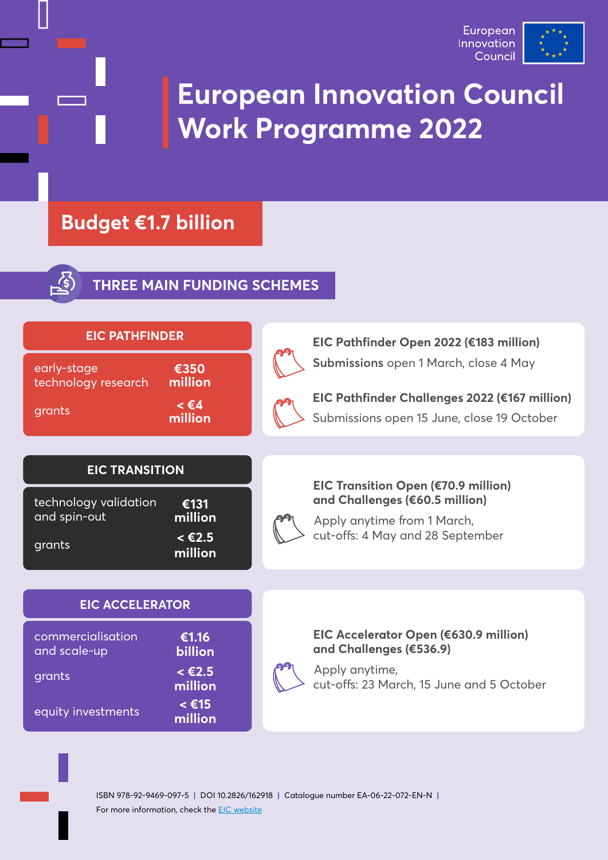

# **European Innovation Council Work Programme 2022**

### **Budget €1.7 billion**



**THREE MAIN FUNDING SCHEMES**

| <b>EIC PATHFINDER</b>              |                              |  | EIC Pathfinder Open 2022 (€183 million)                                                     |
|------------------------------------|------------------------------|--|---------------------------------------------------------------------------------------------|
| early-stage<br>technology research | €350<br>million              |  | Submissions open 1 March, close 4 May                                                       |
| grants                             | $\leq \epsilon$ 4<br>million |  | EIC Pathfinder Challenges 2022 (€167 million)<br>Submissions open 15 June, close 19 October |
| <b>EIC TRANSITION</b>              |                              |  |                                                                                             |
| technology validation              | €131                         |  | <b>EIC Transition Open (€70.9 million)</b><br>and Challenges (€60.5 million)                |
| and spin-out                       | million                      |  | Apply anytime from 1 March,                                                                 |
| grants                             | $< \epsilon$ 2.5<br>million  |  | cut-offs: 4 May and 28 September                                                            |
|                                    |                              |  |                                                                                             |
| <b>EIC ACCELERATOR</b>             |                              |  |                                                                                             |
| commercialisation<br>and scale-up  | €1.16<br>billion             |  | EIC Accelerator Open (€630.9 million)<br>and Challenges (€536.9)                            |
| grants                             | $< \epsilon$ 2.5<br>million  |  | Apply anytime,<br>cut-offs: 23 March, 15 June and 5 October                                 |
| equity investments                 | $\leq$ €15<br>million        |  |                                                                                             |
|                                    |                              |  |                                                                                             |

ISBN 978-92-9469-097-5 **|** DOI 10.2826/162918 **|** Catalogue number EA-06-22-072-EN-N **|** For more information, check the **EIC** website